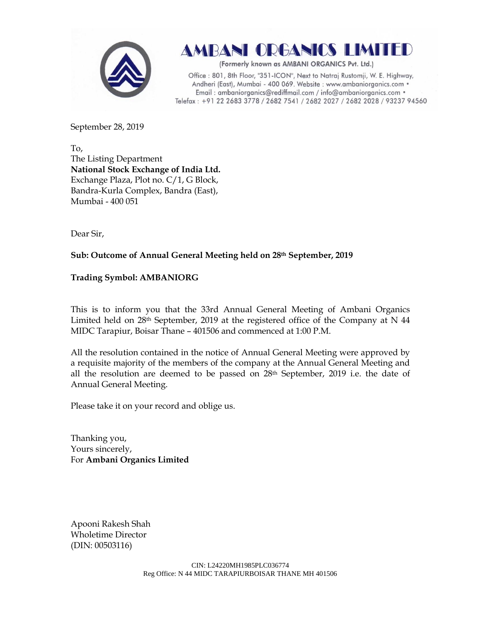

**AMBANI ORGANICS LIMITED** 

(Formerly known as AMBANI ORGANICS Pvt. Ltd.)

Office: 801, 8th Floor, "351-ICON", Next to Natraj Rustomji, W. E. Highway, Andheri (East), Mumbai - 400 069. Website : www.ambaniorganics.com • Email: ambaniorganics@rediffmail.com / info@ambaniorganics.com • Telefax: +91 22 2683 3778 / 2682 7541 / 2682 2027 / 2682 2028 / 93237 94560

September 28, 2019

To, The Listing Department **National Stock Exchange of India Ltd.** Exchange Plaza, Plot no. C/1, G Block, Bandra-Kurla Complex, Bandra (East), Mumbai - 400 051

Dear Sir,

## **Sub: Outcome of Annual General Meeting held on 28th September, 2019**

## **Trading Symbol: AMBANIORG**

This is to inform you that the 33rd Annual General Meeting of Ambani Organics Limited held on  $28<sup>th</sup>$  September, 2019 at the registered office of the Company at N 44 MIDC Tarapiur, Boisar Thane – 401506 and commenced at 1:00 P.M.

All the resolution contained in the notice of Annual General Meeting were approved by a requisite majority of the members of the company at the Annual General Meeting and all the resolution are deemed to be passed on 28th September, 2019 i.e. the date of Annual General Meeting.

Please take it on your record and oblige us.

Thanking you, Yours sincerely, For **Ambani Organics Limited**

Apooni Rakesh Shah Wholetime Director (DIN: [00503116\)](http://www.mca.gov.in/mcafoportal/companyLLPMasterData.do)